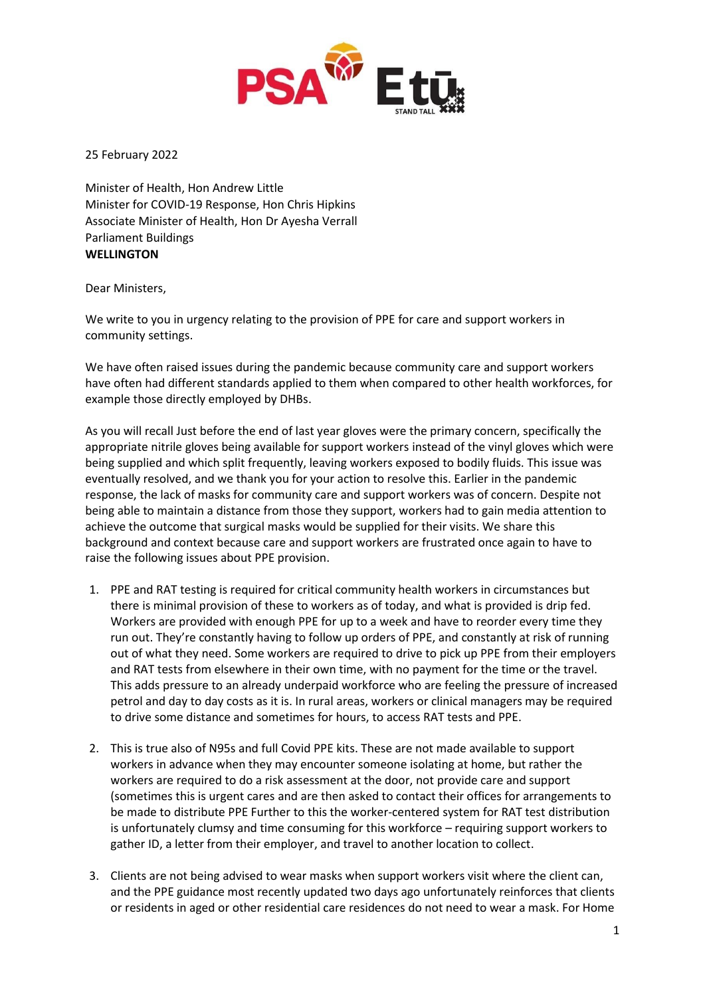

25 February 2022

Minister of Health, Hon Andrew Little Minister for COVID-19 Response, Hon Chris Hipkins Associate Minister of Health, Hon Dr Ayesha Verrall Parliament Buildings **WELLINGTON**

Dear Ministers,

We write to you in urgency relating to the provision of PPE for care and support workers in community settings.

We have often raised issues during the pandemic because community care and support workers have often had different standards applied to them when compared to other health workforces, for example those directly employed by DHBs.

As you will recall Just before the end of last year gloves were the primary concern, specifically the appropriate nitrile gloves being available for support workers instead of the vinyl gloves which were being supplied and which split frequently, leaving workers exposed to bodily fluids. This issue was eventually resolved, and we thank you for your action to resolve this. Earlier in the pandemic response, the lack of masks for community care and support workers was of concern. Despite not being able to maintain a distance from those they support, workers had to gain media attention to achieve the outcome that surgical masks would be supplied for their visits. We share this background and context because care and support workers are frustrated once again to have to raise the following issues about PPE provision.

- 1. PPE and RAT testing is required for critical community health workers in circumstances but there is minimal provision of these to workers as of today, and what is provided is drip fed. Workers are provided with enough PPE for up to a week and have to reorder every time they run out. They're constantly having to follow up orders of PPE, and constantly at risk of running out of what they need. Some workers are required to drive to pick up PPE from their employers and RAT tests from elsewhere in their own time, with no payment for the time or the travel. This adds pressure to an already underpaid workforce who are feeling the pressure of increased petrol and day to day costs as it is. In rural areas, workers or clinical managers may be required to drive some distance and sometimes for hours, to access RAT tests and PPE.
- 2. This is true also of N95s and full Covid PPE kits. These are not made available to support workers in advance when they may encounter someone isolating at home, but rather the workers are required to do a risk assessment at the door, not provide care and support (sometimes this is urgent cares and are then asked to contact their offices for arrangements to be made to distribute PPE Further to this the worker-centered system for RAT test distribution is unfortunately clumsy and time consuming for this workforce – requiring support workers to gather ID, a letter from their employer, and travel to another location to collect.
- 3. Clients are not being advised to wear masks when support workers visit where the client can, and the PPE guidance most recently updated two days ago unfortunately reinforces that clients or residents in aged or other residential care residences do not need to wear a mask. For Home